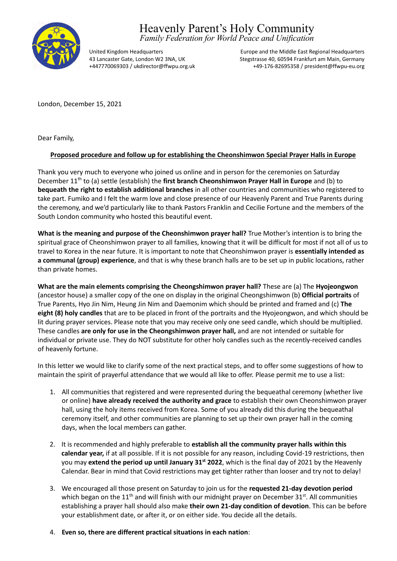

43 Lancaster Gate, London W2 3NA, UK +447770069303 / ukdirector@ffwpu.org.uk

United Kingdom Headquarters **Europe and the Middle East Regional Headquarters** Europe and the Middle East Regional Headquarters Stegstrasse 40, 60594 Frankfurt am Main, Germany +49-176-82695358 / president@ffwpu-eu.org

London, December 15, 2021

Dear Family,

## **Proposed procedure and follow up for establishing the Cheonshimwon Special Prayer Halls in Europe**

Thank you very much to everyone who joined us online and in person for the ceremonies on Saturday December 11th to (a) settle (establish) the **first branch Cheonshimwon Prayer Hall in Europe** and (b) to **bequeath the right to establish additional branches** in all other countries and communities who registered to take part. Fumiko and I felt the warm love and close presence of our Heavenly Parent and True Parents during the ceremony, and we'd particularly like to thank Pastors Franklin and Cecilie Fortune and the members of the South London community who hosted this beautiful event.

**What is the meaning and purpose of the Cheonshimwon prayer hall?** True Mother's intention is to bring the spiritual grace of Cheonshimwon prayer to all families, knowing that it will be difficult for most if not all of us to travel to Korea in the near future. It is important to note that Cheonshimwon prayer is **essentially intended as a communal (group) experience**, and that is why these branch halls are to be set up in public locations, rather than private homes.

**What are the main elements comprising the Cheongshimwon prayer hall?** These are (a) The **Hyojeongwon** (ancestor house) a smaller copy of the one on display in the original Cheongshimwon (b) **Official portraits** of True Parents, Hyo Jin Nim, Heung Jin Nim and Daemonim which should be printed and framed and (c) **The eight (8) holy candles** that are to be placed in front of the portraits and the Hyojeongwon, and which should be lit during prayer services. Please note that you may receive only one seed candle, which should be multiplied. These candles **are only for use in the Cheongshimwon prayer hall,** and are not intended or suitable for individual or private use. They do NOT substitute for other holy candles such as the recently-received candles of heavenly fortune.

In this letter we would like to clarify some of the next practical steps, and to offer some suggestions of how to maintain the spirit of prayerful attendance that we would all like to offer. Please permit me to use a list:

- 1. All communities that registered and were represented during the bequeathal ceremony (whether live or online) **have already received the authority and grace** to establish their own Cheonshimwon prayer hall, using the holy items received from Korea. Some of you already did this during the bequeathal ceremony itself, and other communities are planning to set up their own prayer hall in the coming days, when the local members can gather.
- 2. It is recommended and highly preferable to **establish all the community prayer halls within this calendar year,** if at all possible. If it is not possible for any reason, including Covid-19 restrictions, then you may **extend the period up until January 31st 2022**, which is the final day of 2021 by the Heavenly Calendar. Bear in mind that Covid restrictions may get tighter rather than looser and try not to delay!
- 3. We encouraged all those present on Saturday to join us for the **requested 21-day devotion period** which began on the 11<sup>th</sup> and will finish with our midnight prayer on December 31st. All communities establishing a prayer hall should also make **their own 21-day condition of devotion**. This can be before your establishment date, or after it, or on either side. You decide all the details.
- 4. **Even so, there are different practical situations in each nation**: